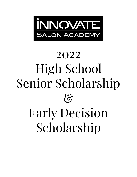

# 2022 High School Senior Scholarship  $\mathcal{E}$ Early Decision Scholarship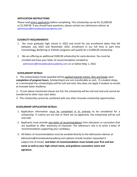# **APPLICATION INSTRUCTIONS**

Please read entire application before completing. This scholarship can be for \$1,000.00 or \$1,500.00. If you should have questions, please contact our admissions advisor at: admissions@innovatesalonacademy.com

## **ELIGIBILITY REQUIREMENTS**

- 1. You must graduate high school in 2022 and enroll for any enrollment dates that fall between July 2022 and November 2022. Enrollment in our full time or part time Cosmetology, Barbering or Esthetic programs will qualify for a \$1000.00 scholarship.
- 2. We are offering an additional \$500.00 scholarship for early decision. You must be enrolled and have your letter of recommendation emailed to [admissions@innovatesalonacademy.com](mailto:admissions@tspanewjersey.com) on or before May 1, 2022.

# **SCHOLARSHIP DETAILS**

1. The scholarship(s) funds awarded will be applied towards tuition, fees and books upon **completion of program hours**. Scholarship(s) are non-transferable as cash. If a student drops, or is terminated the scholarship(s) will be null and void. Also does not apply if student re-enrolls at Innovate Salon Academy.

2. If such above mentioned classes are full, the scholarship will be null and void and cannot be transferred to other class start dates.

3. This scholarship cannot be combined with any other Innovate scholarship opportunities.

#### **SCHOLARSHIP APPLICATION DETAILS:**

- 1. Application information must be completed in its entirety to be considered for a scholarship. If criteria are not met or there are no applicants, the scholarship will be null and void.
- 2. Applicants must provide one letter of recommendation from educators or counselors that are qualified to offer testimony of character. The reference's role is to write a letter of recommendation supporting your candidacy.
- 3. All letters of recommendation must be emailed directly to the Admissions Advisor at admissions@innovatesalonacademy.com (please include location requested in subject line of email) **and letter of recommendation must include your first and last name as well as your high school name, and guidance counselors name and signature.**